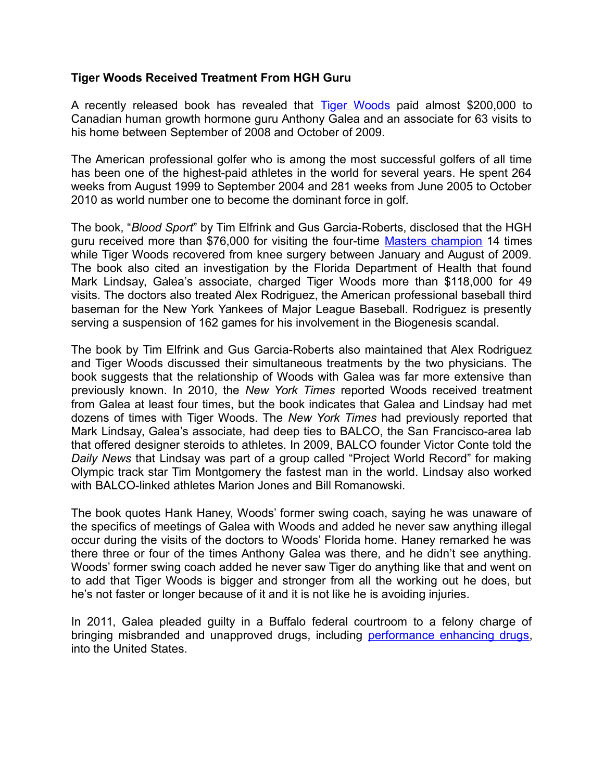## **Tiger Woods Received Treatment From HGH Guru**

A recently released book has revealed that [Tiger Woods](http://www.isteroids.com/blog/tiger-sticks-by-coach-to-deny-drug-rumors/) paid almost \$200,000 to Canadian human growth hormone guru Anthony Galea and an associate for 63 visits to his home between September of 2008 and October of 2009.

The American professional golfer who is among the most successful golfers of all time has been one of the highest-paid athletes in the world for several years. He spent 264 weeks from August 1999 to September 2004 and 281 weeks from June 2005 to October 2010 as world number one to become the dominant force in golf.

The book, "*Blood Sport*" by Tim Elfrink and Gus Garcia-Roberts, disclosed that the HGH guru received more than \$76,000 for visiting the four-time [Masters champion](http://www.tigerwoods.com/home) 14 times while Tiger Woods recovered from knee surgery between January and August of 2009. The book also cited an investigation by the Florida Department of Health that found Mark Lindsay, Galea's associate, charged Tiger Woods more than \$118,000 for 49 visits. The doctors also treated Alex Rodriguez, the American professional baseball third baseman for the New York Yankees of Major League Baseball. Rodriguez is presently serving a suspension of 162 games for his involvement in the Biogenesis scandal.

The book by Tim Elfrink and Gus Garcia-Roberts also maintained that Alex Rodriguez and Tiger Woods discussed their simultaneous treatments by the two physicians. The book suggests that the relationship of Woods with Galea was far more extensive than previously known. In 2010, the *New York Times* reported Woods received treatment from Galea at least four times, but the book indicates that Galea and Lindsay had met dozens of times with Tiger Woods. The *New York Times* had previously reported that Mark Lindsay, Galea's associate, had deep ties to BALCO, the San Francisco-area lab that offered designer steroids to athletes. In 2009, BALCO founder Victor Conte told the *Daily News* that Lindsay was part of a group called "Project World Record" for making Olympic track star Tim Montgomery the fastest man in the world. Lindsay also worked with BALCO-linked athletes Marion Jones and Bill Romanowski.

The book quotes Hank Haney, Woods' former swing coach, saying he was unaware of the specifics of meetings of Galea with Woods and added he never saw anything illegal occur during the visits of the doctors to Woods' Florida home. Haney remarked he was there three or four of the times Anthony Galea was there, and he didn't see anything. Woods' former swing coach added he never saw Tiger do anything like that and went on to add that Tiger Woods is bigger and stronger from all the working out he does, but he's not faster or longer because of it and it is not like he is avoiding injuries.

In 2011, Galea pleaded guilty in a Buffalo federal courtroom to a felony charge of bringing misbranded and unapproved drugs, including [performance enhancing drugs,](http://www.isteroids.com/) into the United States.